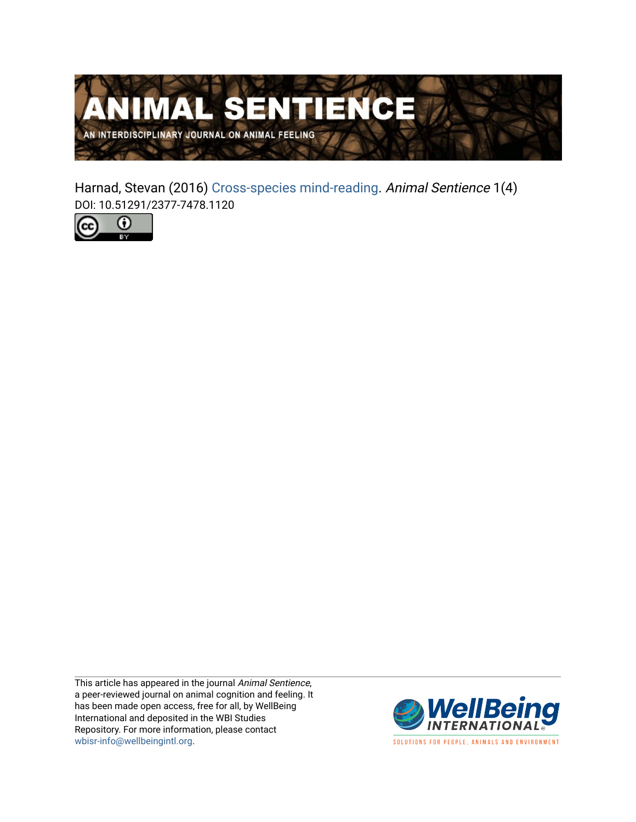

Harnad, Stevan (2016) [Cross-species mind-reading.](https://www.wellbeingintlstudiesrepository.org/animsent/vol1/iss1/4) Animal Sentience 1(4) DOI: 10.51291/2377-7478.1120



This article has appeared in the journal Animal Sentience, a peer-reviewed journal on animal cognition and feeling. It has been made open access, free for all, by WellBeing International and deposited in the WBI Studies Repository. For more information, please contact [wbisr-info@wellbeingintl.org](mailto:wbisr-info@wellbeingintl.org).



SOLUTIONS FOR PEOPLE, ANIMALS AND ENVIRONMENT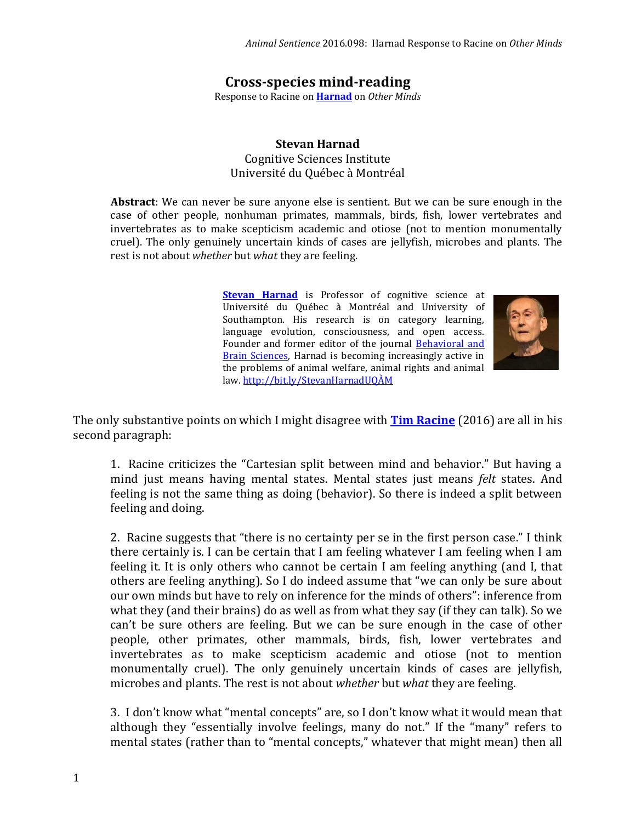## **Cross-species mind-reading**

Response to Racine on **[Harnad](http://animalstudiesrepository.org/animsent/vol1/iss1/1)** on *Other Minds*

## **Stevan Harnad** Cognitive Sciences Institute Université du Québec à Montréal

**Abstract**: We can never be sure anyone else is sentient. But we can be sure enough in the case of other people, nonhuman primates, mammals, birds, fish, lower vertebrates and invertebrates as to make scepticism academic and otiose (not to mention monumentally cruel). The only genuinely uncertain kinds of cases are jellyfish, microbes and plants. The rest is not about *whether* but *what* they are feeling.

> **[Stevan Harnad](mailto:harnad@uqam.ca)** is Professor of cognitive science at Université du Québec à Montréal and University of Southampton. His research is on category learning, language evolution, consciousness, and open access. Founder and former editor of the journal [Behavioral and](http://users.ecs.soton.ac.uk/harnad/Temp/bbs.valedict.html)  [Brain Sciences,](http://users.ecs.soton.ac.uk/harnad/Temp/bbs.valedict.html) Harnad is becoming increasingly active in the problems of animal welfare, animal rights and animal law. <http://bit.ly/StevanHarnadUQÀM>



The only substantive points on which I might disagree with **[Tim Racine](http://animalstudiesrepository.org/animsent/vol1/iss1/3/)** (2016) are all in his second paragraph:

1. Racine criticizes the "Cartesian split between mind and behavior." But having a mind just means having mental states. Mental states just means *felt* states. And feeling is not the same thing as doing (behavior). So there is indeed a split between feeling and doing.

2. Racine suggests that "there is no certainty per se in the first person case." I think there certainly is. I can be certain that I am feeling whatever I am feeling when I am feeling it. It is only others who cannot be certain I am feeling anything (and I, that others are feeling anything). So I do indeed assume that "we can only be sure about our own minds but have to rely on inference for the minds of others": inference from what they (and their brains) do as well as from what they say (if they can talk). So we can't be sure others are feeling. But we can be sure enough in the case of other people, other primates, other mammals, birds, fish, lower vertebrates and invertebrates as to make scepticism academic and otiose (not to mention monumentally cruel). The only genuinely uncertain kinds of cases are jellyfish, microbes and plants. The rest is not about *whether* but *what* they are feeling.

3. I don't know what "mental concepts" are, so I don't know what it would mean that although they "essentially involve feelings, many do not." If the "many" refers to mental states (rather than to "mental concepts," whatever that might mean) then all